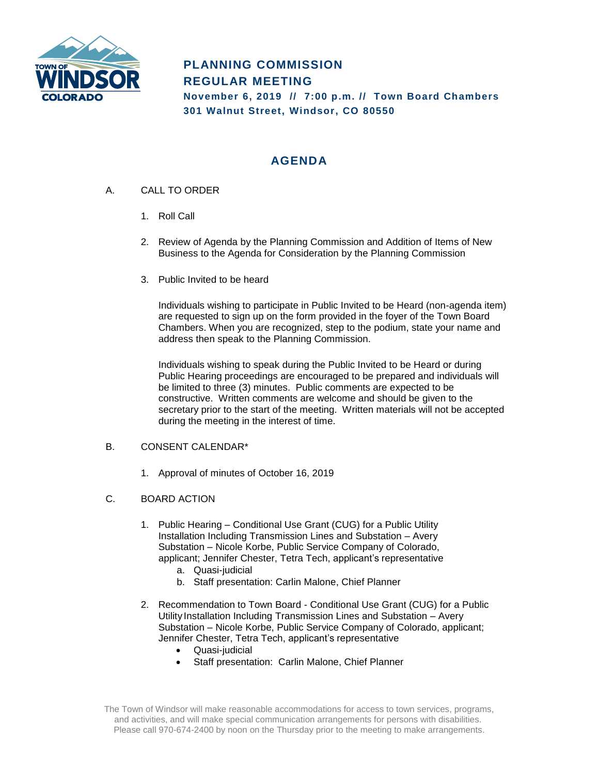

# **PLANNING COMMISSION REGULAR MEETING November 6, 2019 // 7:00 p.m. // Town Board Chambers**

**301 Walnut Street, Windsor, CO 80550**

## **AGENDA**

- A. CALL TO ORDER
	- 1. Roll Call
	- 2. Review of Agenda by the Planning Commission and Addition of Items of New Business to the Agenda for Consideration by the Planning Commission
	- 3. Public Invited to be heard

Individuals wishing to participate in Public Invited to be Heard (non-agenda item) are requested to sign up on the form provided in the foyer of the Town Board Chambers. When you are recognized, step to the podium, state your name and address then speak to the Planning Commission.

Individuals wishing to speak during the Public Invited to be Heard or during Public Hearing proceedings are encouraged to be prepared and individuals will be limited to three (3) minutes. Public comments are expected to be constructive. Written comments are welcome and should be given to the secretary prior to the start of the meeting. Written materials will not be accepted during the meeting in the interest of time.

## B. CONSENT CALENDAR\*

- 1. Approval of minutes of October 16, 2019
- C. BOARD ACTION
	- 1. Public Hearing Conditional Use Grant (CUG) for a Public Utility Installation Including Transmission Lines and Substation – Avery Substation – Nicole Korbe, Public Service Company of Colorado, applicant; Jennifer Chester, Tetra Tech, applicant's representative
		- a. Quasi-judicial
		- b. Staff presentation: Carlin Malone, Chief Planner
	- 2. Recommendation to Town Board Conditional Use Grant (CUG) for a Public Utility Installation Including Transmission Lines and Substation – Avery Substation – Nicole Korbe, Public Service Company of Colorado, applicant; Jennifer Chester, Tetra Tech, applicant's representative
		- Quasi-judicial
		- Staff presentation: Carlin Malone, Chief Planner

The Town of Windsor will make reasonable accommodations for access to town services, programs, and activities, and will make special communication arrangements for persons with disabilities. Please call 970-674-2400 by noon on the Thursday prior to the meeting to make arrangements.